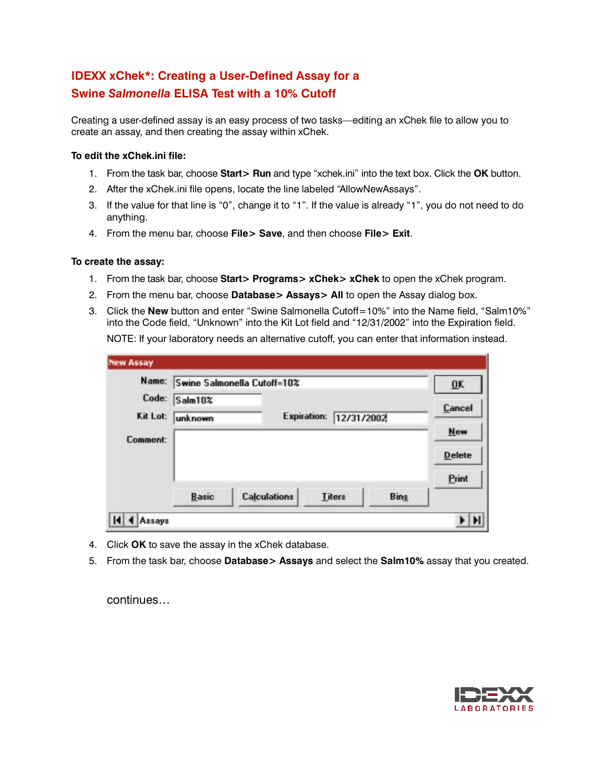## **IDEXX xChek\*: Creating a User-Defined Assay for a Swine** *Salmonella* **ELISA Test with a 10% Cutoff**

Creating a user-defined assay is an easy process of two tasks—editing an xChek file to allow you to create an assay, and then creating the assay within xChek.

## **To edit the xChek.ini file:**

- 1. From the task bar, choose **Start> Run** and type "xchek.ini" into the text box. Click the **OK** button.
- 2. After the xChek.ini file opens, locate the line labeled "AllowNewAssays".
- 3. If the value for that line is "0", change it to "1". If the value is already "1", you do not need to do anything.
- 4. From the menu bar, choose **File> Save**, and then choose **File> Exit**.

## **To create the assay:**

- 1. From the task bar, choose **Start> Programs> xChek> xChek** to open the xChek program.
- 2. From the menu bar, choose **Database> Assays> All** to open the Assay dialog box.
- 3. Click the **New** button and enter "Swine Salmonella Cutoff=10%" into the Name field, "Salm10%" into the Code field, "Unknown" into the Kit Lot field and "12/31/2002" into the Expiration field. NOTE: If your laboratory needs an alternative cutoff, you can enter that information instead.

|          | Name: Swine Salmonella Cutoff=10% |                     |                        |      |               |
|----------|-----------------------------------|---------------------|------------------------|------|---------------|
| Code:    | <b>Salm10%</b>                    |                     |                        |      | Cancel        |
| Kit Lot: | unknown                           |                     | Expiration: 12/31/2002 |      |               |
| Comment: |                                   |                     |                        |      | <b>New</b>    |
|          |                                   |                     |                        |      | <b>Delete</b> |
|          |                                   |                     |                        |      | Print         |
|          | <b>Basic</b>                      | <b>Calculations</b> | Titers                 | Bing |               |

- 4. Click **OK** to save the assay in the xChek database.
- 5. From the task bar, choose **Database> Assays** and select the **Salm10%** assay that you created.

continues…

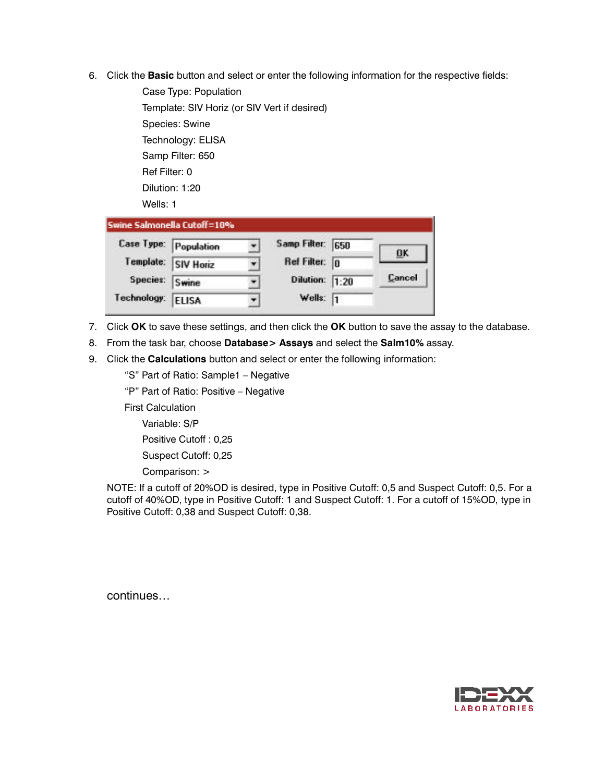6. Click the **Basic** button and select or enter the following information for the respective fields:

Case Type: Population Template: SIV Horiz (or SIV Vert if desired) Species: Swine Technology: ELISA Samp Filter: 650 Ref Filter: 0 Dilution: 1:20 Wells: 1 Swine Salmonella Cutoff=10% **Case Type:** Population Samp Filter: 650 ×. **DK** Template: Ref Filter: 0 **SIV Horiz** ٠

| 7. Click OK to save these settings, and then click the OK button to save the assay to the database. |
|-----------------------------------------------------------------------------------------------------|

Dilution: 1:20

Wells:  $\sqrt{1}$ 

Cancel

- 8. From the task bar, choose **Database> Assays** and select the **Salm10%** assay.
- 9. Click the **Calculations** button and select or enter the following information:

÷

 $\overline{\mathbf{v}}$ 

"S" Part of Ratio: Sample1 – Negative

"P" Part of Ratio: Positive – Negative

First Calculation

Species:

Technology:

Variable: S/P

Positive Cutoff : 0,25

**Swine** 

**ELISA** 

Suspect Cutoff: 0,25

Comparison: >

NOTE: If a cutoff of 20%OD is desired, type in Positive Cutoff: 0,5 and Suspect Cutoff: 0,5. For a cutoff of 40%OD, type in Positive Cutoff: 1 and Suspect Cutoff: 1. For a cutoff of 15%OD, type in Positive Cutoff: 0,38 and Suspect Cutoff: 0,38.

continues…